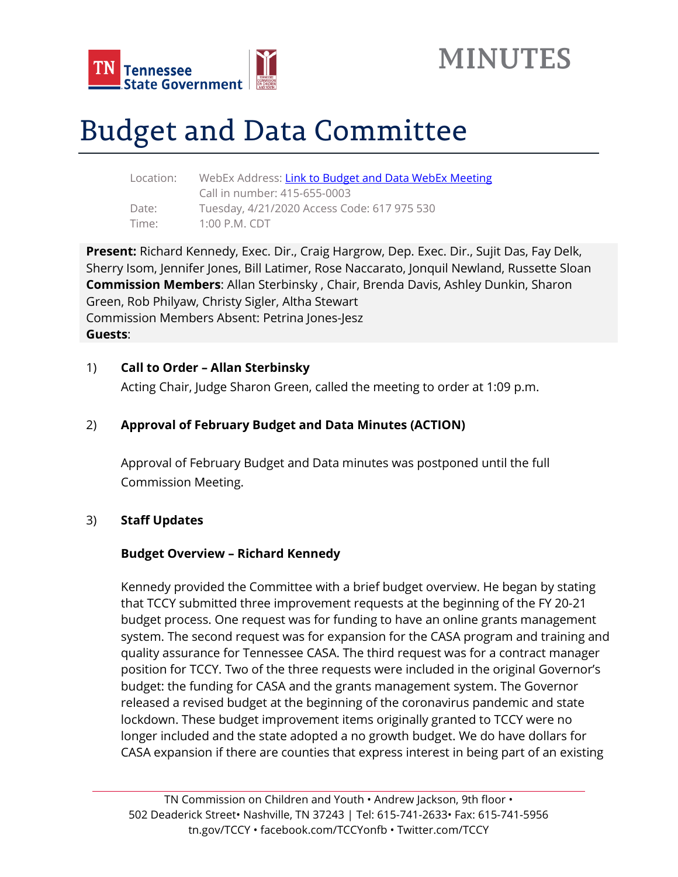



# Budget and Data Committee

| Location: | WebEx Address: Link to Budget and Data WebEx Meeting |
|-----------|------------------------------------------------------|
|           | Call in number: 415-655-0003                         |
| Date:     | Tuesday, 4/21/2020 Access Code: 617 975 530          |
| Time:     | $1:00$ P.M. CDT                                      |

**Present:** Richard Kennedy, Exec. Dir., Craig Hargrow, Dep. Exec. Dir., Sujit Das, Fay Delk, Sherry Isom, Jennifer Jones, Bill Latimer, Rose Naccarato, Jonquil Newland, Russette Sloan **Commission Members**: Allan Sterbinsky , Chair, Brenda Davis, Ashley Dunkin, Sharon Green, Rob Philyaw, Christy Sigler, Altha Stewart Commission Members Absent: Petrina Jones-Jesz **Guests**:

#### 1) **Call to Order – Allan Sterbinsky**

Acting Chair, Judge Sharon Green, called the meeting to order at 1:09 p.m.

#### 2) **Approval of February Budget and Data Minutes (ACTION)**

Approval of February Budget and Data minutes was postponed until the full Commission Meeting.

#### 3) **Staff Updates**

#### **Budget Overview – Richard Kennedy**

Kennedy provided the Committee with a brief budget overview. He began by stating that TCCY submitted three improvement requests at the beginning of the FY 20-21 budget process. One request was for funding to have an online grants management system. The second request was for expansion for the CASA program and training and quality assurance for Tennessee CASA. The third request was for a contract manager position for TCCY. Two of the three requests were included in the original Governor's budget: the funding for CASA and the grants management system. The Governor released a revised budget at the beginning of the coronavirus pandemic and state lockdown. These budget improvement items originally granted to TCCY were no longer included and the state adopted a no growth budget. We do have dollars for CASA expansion if there are counties that express interest in being part of an existing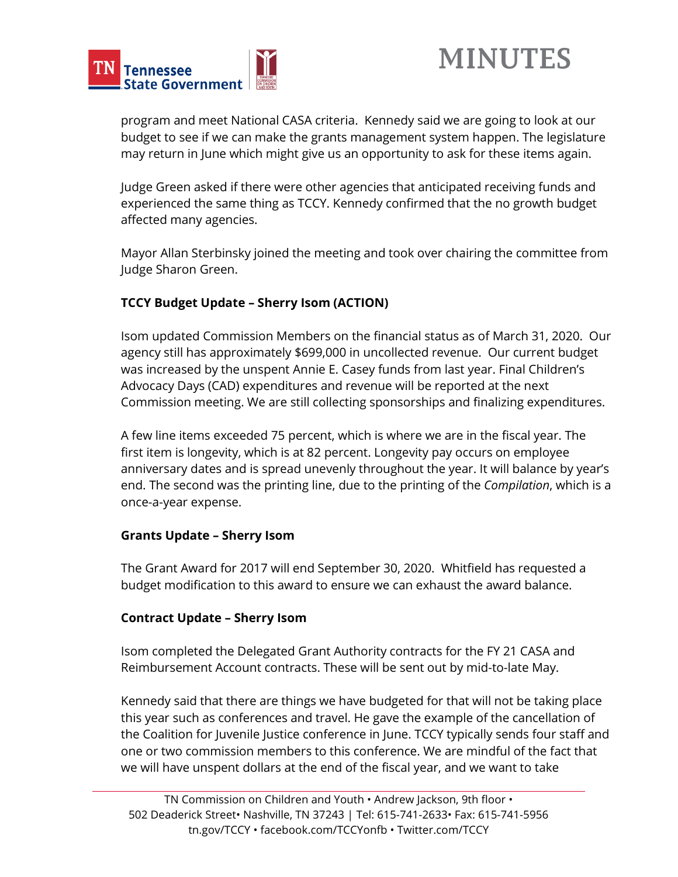

program and meet National CASA criteria. Kennedy said we are going to look at our budget to see if we can make the grants management system happen. The legislature may return in June which might give us an opportunity to ask for these items again.

Judge Green asked if there were other agencies that anticipated receiving funds and experienced the same thing as TCCY. Kennedy confirmed that the no growth budget affected many agencies.

Mayor Allan Sterbinsky joined the meeting and took over chairing the committee from Judge Sharon Green.

## **TCCY Budget Update – Sherry Isom (ACTION)**

Isom updated Commission Members on the financial status as of March 31, 2020. Our agency still has approximately \$699,000 in uncollected revenue. Our current budget was increased by the unspent Annie E. Casey funds from last year. Final Children's Advocacy Days (CAD) expenditures and revenue will be reported at the next Commission meeting. We are still collecting sponsorships and finalizing expenditures.

A few line items exceeded 75 percent, which is where we are in the fiscal year. The first item is longevity, which is at 82 percent. Longevity pay occurs on employee anniversary dates and is spread unevenly throughout the year. It will balance by year's end. The second was the printing line, due to the printing of the *Compilation*, which is a once-a-year expense.

#### **Grants Update – Sherry Isom**

The Grant Award for 2017 will end September 30, 2020. Whitfield has requested a budget modification to this award to ensure we can exhaust the award balance.

### **Contract Update – Sherry Isom**

Isom completed the Delegated Grant Authority contracts for the FY 21 CASA and Reimbursement Account contracts. These will be sent out by mid-to-late May.

Kennedy said that there are things we have budgeted for that will not be taking place this year such as conferences and travel. He gave the example of the cancellation of the Coalition for Juvenile Justice conference in June. TCCY typically sends four staff and one or two commission members to this conference. We are mindful of the fact that we will have unspent dollars at the end of the fiscal year, and we want to take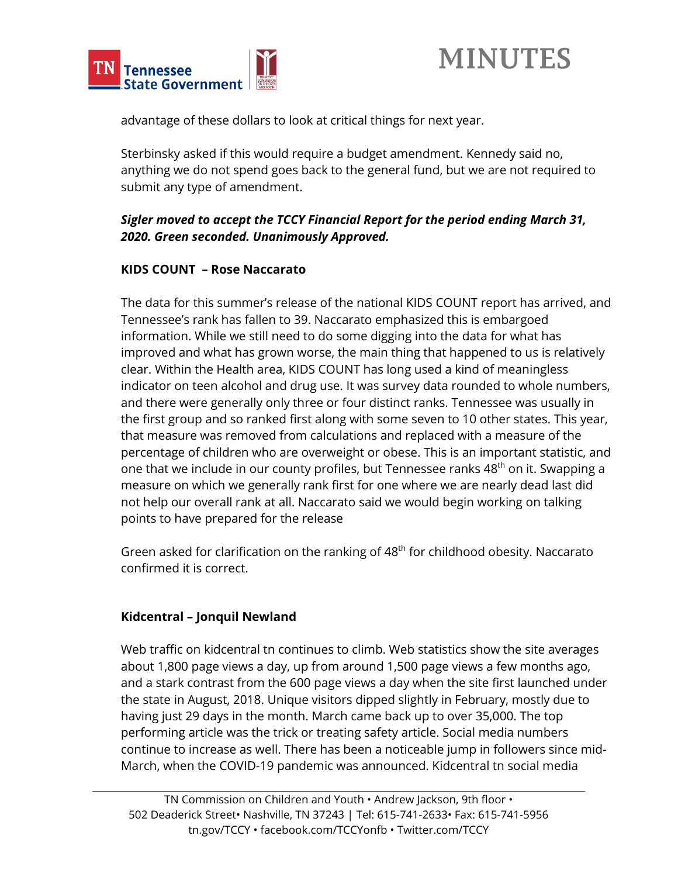



advantage of these dollars to look at critical things for next year.

Sterbinsky asked if this would require a budget amendment. Kennedy said no, anything we do not spend goes back to the general fund, but we are not required to submit any type of amendment.

## *Sigler moved to accept the TCCY Financial Report for the period ending March 31, 2020. Green seconded. Unanimously Approved.*

### **KIDS COUNT – Rose Naccarato**

The data for this summer's release of the national KIDS COUNT report has arrived, and Tennessee's rank has fallen to 39. Naccarato emphasized this is embargoed information. While we still need to do some digging into the data for what has improved and what has grown worse, the main thing that happened to us is relatively clear. Within the Health area, KIDS COUNT has long used a kind of meaningless indicator on teen alcohol and drug use. It was survey data rounded to whole numbers, and there were generally only three or four distinct ranks. Tennessee was usually in the first group and so ranked first along with some seven to 10 other states. This year, that measure was removed from calculations and replaced with a measure of the percentage of children who are overweight or obese. This is an important statistic, and one that we include in our county profiles, but Tennessee ranks 48<sup>th</sup> on it. Swapping a measure on which we generally rank first for one where we are nearly dead last did not help our overall rank at all. Naccarato said we would begin working on talking points to have prepared for the release

Green asked for clarification on the ranking of 48<sup>th</sup> for childhood obesity. Naccarato confirmed it is correct.

### **Kidcentral – Jonquil Newland**

Web traffic on kidcentral tn continues to climb. Web statistics show the site averages about 1,800 page views a day, up from around 1,500 page views a few months ago, and a stark contrast from the 600 page views a day when the site first launched under the state in August, 2018. Unique visitors dipped slightly in February, mostly due to having just 29 days in the month. March came back up to over 35,000. The top performing article was the trick or treating safety article. Social media numbers continue to increase as well. There has been a noticeable jump in followers since mid-March, when the COVID-19 pandemic was announced. Kidcentral tn social media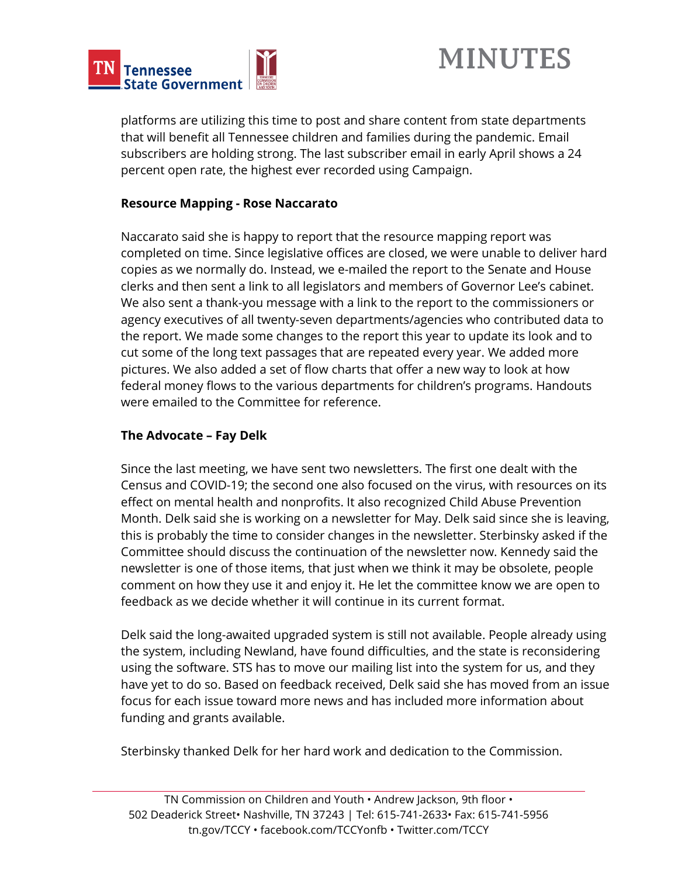



platforms are utilizing this time to post and share content from state departments that will benefit all Tennessee children and families during the pandemic. Email subscribers are holding strong. The last subscriber email in early April shows a 24 percent open rate, the highest ever recorded using Campaign.

#### **Resource Mapping - Rose Naccarato**

Naccarato said she is happy to report that the resource mapping report was completed on time. Since legislative offices are closed, we were unable to deliver hard copies as we normally do. Instead, we e-mailed the report to the Senate and House clerks and then sent a link to all legislators and members of Governor Lee's cabinet. We also sent a thank-you message with a link to the report to the commissioners or agency executives of all twenty-seven departments/agencies who contributed data to the report. We made some changes to the report this year to update its look and to cut some of the long text passages that are repeated every year. We added more pictures. We also added a set of flow charts that offer a new way to look at how federal money flows to the various departments for children's programs. Handouts were emailed to the Committee for reference.

### **The Advocate – Fay Delk**

Since the last meeting, we have sent two newsletters. The first one dealt with the Census and COVID-19; the second one also focused on the virus, with resources on its effect on mental health and nonprofits. It also recognized Child Abuse Prevention Month. Delk said she is working on a newsletter for May. Delk said since she is leaving, this is probably the time to consider changes in the newsletter. Sterbinsky asked if the Committee should discuss the continuation of the newsletter now. Kennedy said the newsletter is one of those items, that just when we think it may be obsolete, people comment on how they use it and enjoy it. He let the committee know we are open to feedback as we decide whether it will continue in its current format.

Delk said the long-awaited upgraded system is still not available. People already using the system, including Newland, have found difficulties, and the state is reconsidering using the software. STS has to move our mailing list into the system for us, and they have yet to do so. Based on feedback received, Delk said she has moved from an issue focus for each issue toward more news and has included more information about funding and grants available.

Sterbinsky thanked Delk for her hard work and dedication to the Commission.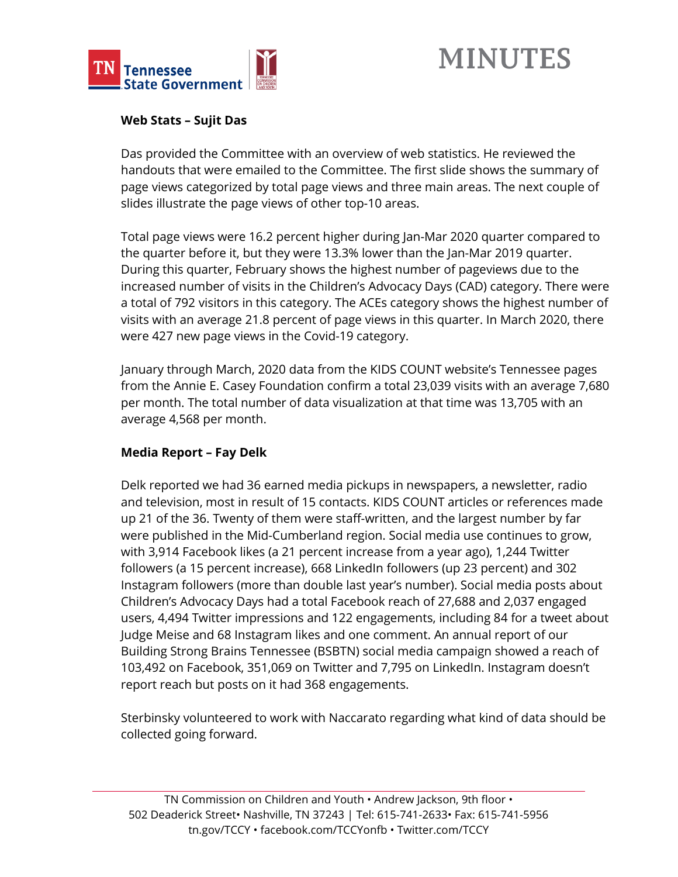

# **MINUTES**

#### **Web Stats – Sujit Das**

Das provided the Committee with an overview of web statistics. He reviewed the handouts that were emailed to the Committee. The first slide shows the summary of page views categorized by total page views and three main areas. The next couple of slides illustrate the page views of other top-10 areas.

Total page views were 16.2 percent higher during Jan-Mar 2020 quarter compared to the quarter before it, but they were 13.3% lower than the Jan-Mar 2019 quarter. During this quarter, February shows the highest number of pageviews due to the increased number of visits in the Children's Advocacy Days (CAD) category. There were a total of 792 visitors in this category. The ACEs category shows the highest number of visits with an average 21.8 percent of page views in this quarter. In March 2020, there were 427 new page views in the Covid-19 category.

January through March, 2020 data from the KIDS COUNT website's Tennessee pages from the Annie E. Casey Foundation confirm a total 23,039 visits with an average 7,680 per month. The total number of data visualization at that time was 13,705 with an average 4,568 per month.

### **Media Report – Fay Delk**

Delk reported we had 36 earned media pickups in newspapers, a newsletter, radio and television, most in result of 15 contacts. KIDS COUNT articles or references made up 21 of the 36. Twenty of them were staff-written, and the largest number by far were published in the Mid-Cumberland region. Social media use continues to grow, with 3,914 Facebook likes (a 21 percent increase from a year ago), 1,244 Twitter followers (a 15 percent increase), 668 LinkedIn followers (up 23 percent) and 302 Instagram followers (more than double last year's number). Social media posts about Children's Advocacy Days had a total Facebook reach of 27,688 and 2,037 engaged users, 4,494 Twitter impressions and 122 engagements, including 84 for a tweet about Judge Meise and 68 Instagram likes and one comment. An annual report of our Building Strong Brains Tennessee (BSBTN) social media campaign showed a reach of 103,492 on Facebook, 351,069 on Twitter and 7,795 on LinkedIn. Instagram doesn't report reach but posts on it had 368 engagements.

Sterbinsky volunteered to work with Naccarato regarding what kind of data should be collected going forward.